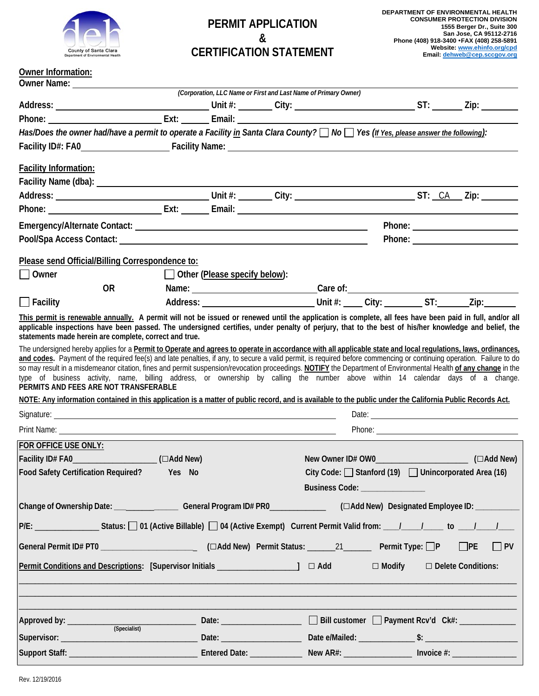

## **PERMIT APPLICATION & CERTIFICATION STATEMENT**

## **Owner Information:**

| Owner Name: 1997                                                                                                                                                                                                                                                                                                                                                                                                                                                                                                                                                                                                                                                                 |                                                             |                                                                 |                                                                                       |                      |  |           |
|----------------------------------------------------------------------------------------------------------------------------------------------------------------------------------------------------------------------------------------------------------------------------------------------------------------------------------------------------------------------------------------------------------------------------------------------------------------------------------------------------------------------------------------------------------------------------------------------------------------------------------------------------------------------------------|-------------------------------------------------------------|-----------------------------------------------------------------|---------------------------------------------------------------------------------------|----------------------|--|-----------|
|                                                                                                                                                                                                                                                                                                                                                                                                                                                                                                                                                                                                                                                                                  |                                                             | (Corporation, LLC Name or First and Last Name of Primary Owner) |                                                                                       |                      |  |           |
|                                                                                                                                                                                                                                                                                                                                                                                                                                                                                                                                                                                                                                                                                  |                                                             |                                                                 |                                                                                       |                      |  |           |
| Has/Does the owner had/have a permit to operate a Facility in Santa Clara County? No Yes (If Yes, please answer the following):                                                                                                                                                                                                                                                                                                                                                                                                                                                                                                                                                  |                                                             |                                                                 |                                                                                       |                      |  |           |
|                                                                                                                                                                                                                                                                                                                                                                                                                                                                                                                                                                                                                                                                                  |                                                             |                                                                 |                                                                                       |                      |  |           |
|                                                                                                                                                                                                                                                                                                                                                                                                                                                                                                                                                                                                                                                                                  |                                                             |                                                                 |                                                                                       |                      |  |           |
| <b>Facility Information:</b>                                                                                                                                                                                                                                                                                                                                                                                                                                                                                                                                                                                                                                                     |                                                             |                                                                 |                                                                                       |                      |  |           |
|                                                                                                                                                                                                                                                                                                                                                                                                                                                                                                                                                                                                                                                                                  |                                                             |                                                                 |                                                                                       |                      |  |           |
|                                                                                                                                                                                                                                                                                                                                                                                                                                                                                                                                                                                                                                                                                  |                                                             |                                                                 |                                                                                       |                      |  |           |
|                                                                                                                                                                                                                                                                                                                                                                                                                                                                                                                                                                                                                                                                                  |                                                             |                                                                 |                                                                                       |                      |  |           |
|                                                                                                                                                                                                                                                                                                                                                                                                                                                                                                                                                                                                                                                                                  |                                                             |                                                                 |                                                                                       |                      |  |           |
| Pool/Spa Access Contact: Note and the set of the set of the set of the set of the set of the set of the set of the set of the set of the set of the set of the set of the set of the set of the set of the set of the set of t                                                                                                                                                                                                                                                                                                                                                                                                                                                   |                                                             |                                                                 |                                                                                       |                      |  |           |
| Please send Official/Billing Correspondence to:                                                                                                                                                                                                                                                                                                                                                                                                                                                                                                                                                                                                                                  |                                                             |                                                                 |                                                                                       |                      |  |           |
| $\bigsqcup$ Owner                                                                                                                                                                                                                                                                                                                                                                                                                                                                                                                                                                                                                                                                |                                                             | $\Box$ Other (Please specify below):                            |                                                                                       |                      |  |           |
| OR and the set of the set of the set of the set of the set of the set of the set of the set of the set of the set of the set of the set of the set of the set of the set of the set of the set of the set of the set of the se                                                                                                                                                                                                                                                                                                                                                                                                                                                   |                                                             |                                                                 |                                                                                       |                      |  |           |
| $\Box$ Facility                                                                                                                                                                                                                                                                                                                                                                                                                                                                                                                                                                                                                                                                  |                                                             |                                                                 |                                                                                       |                      |  |           |
| This permit is renewable annually. A permit will not be issued or renewed until the application is complete, all fees have been paid in full, and/or all<br>applicable inspections have been passed. The undersigned certifies, under penalty of perjury, that to the best of his/her knowledge and belief, the<br>statements made herein are complete, correct and true.                                                                                                                                                                                                                                                                                                        |                                                             |                                                                 |                                                                                       |                      |  |           |
| and codes. Payment of the required fee(s) and late penalties, if any, to secure a valid permit, is required before commencing or continuing operation. Failure to do<br>so may result in a misdemeanor citation, fines and permit suspension/revocation proceedings. NOTIFY the Department of Environmental Health of any change in the<br>type of business activity, name, billing address, or ownership by calling the number above within 14 calendar days of a change.<br>PERMITS AND FEES ARE NOT TRANSFERABLE<br>NOTE: Any information contained in this application is a matter of public record, and is available to the public under the California Public Records Act. |                                                             |                                                                 |                                                                                       |                      |  |           |
|                                                                                                                                                                                                                                                                                                                                                                                                                                                                                                                                                                                                                                                                                  |                                                             |                                                                 |                                                                                       |                      |  |           |
| Print Name: <u>__________________</u>                                                                                                                                                                                                                                                                                                                                                                                                                                                                                                                                                                                                                                            | <u> 1989 - Johann Stoff, amerikansk politiker (d. 1989)</u> |                                                                 |                                                                                       |                      |  |           |
| FOR OFFICE USE ONLY:                                                                                                                                                                                                                                                                                                                                                                                                                                                                                                                                                                                                                                                             |                                                             |                                                                 |                                                                                       |                      |  |           |
| Facility ID# FA0______________________(□Add New)                                                                                                                                                                                                                                                                                                                                                                                                                                                                                                                                                                                                                                 |                                                             |                                                                 |                                                                                       |                      |  |           |
| Food Safety Certification Required? Yes No                                                                                                                                                                                                                                                                                                                                                                                                                                                                                                                                                                                                                                       |                                                             |                                                                 | City Code: Stanford (19) Unincorporated Area (16)<br>Business Code: _________________ |                      |  |           |
| Change of Ownership Date: ___________________General Program ID# PRO________________(□Add New) Designated Employee ID: ____________                                                                                                                                                                                                                                                                                                                                                                                                                                                                                                                                              |                                                             |                                                                 |                                                                                       |                      |  |           |
| P/E: _________________Status: [ ] 01 (Active Billable) [ ] 04 (Active Exempt) Current Permit Valid from: ____/_____/_____ to ____/_____/_____                                                                                                                                                                                                                                                                                                                                                                                                                                                                                                                                    |                                                             |                                                                 |                                                                                       |                      |  |           |
| General Permit ID# PT0 ___________________________(□Add New) Permit Status: _______21 _______ Permit Type: □P □PE                                                                                                                                                                                                                                                                                                                                                                                                                                                                                                                                                                |                                                             |                                                                 |                                                                                       |                      |  | $\Box$ PV |
| Permit Conditions and Descriptions: [Supervisor Initials __________________] □ Add                                                                                                                                                                                                                                                                                                                                                                                                                                                                                                                                                                                               |                                                             |                                                                 |                                                                                       | ■ Delete Conditions: |  |           |
|                                                                                                                                                                                                                                                                                                                                                                                                                                                                                                                                                                                                                                                                                  |                                                             |                                                                 |                                                                                       |                      |  |           |
| (Specialist)                                                                                                                                                                                                                                                                                                                                                                                                                                                                                                                                                                                                                                                                     |                                                             |                                                                 |                                                                                       |                      |  |           |
|                                                                                                                                                                                                                                                                                                                                                                                                                                                                                                                                                                                                                                                                                  |                                                             |                                                                 |                                                                                       |                      |  |           |
|                                                                                                                                                                                                                                                                                                                                                                                                                                                                                                                                                                                                                                                                                  |                                                             |                                                                 |                                                                                       |                      |  |           |
|                                                                                                                                                                                                                                                                                                                                                                                                                                                                                                                                                                                                                                                                                  |                                                             |                                                                 |                                                                                       |                      |  |           |